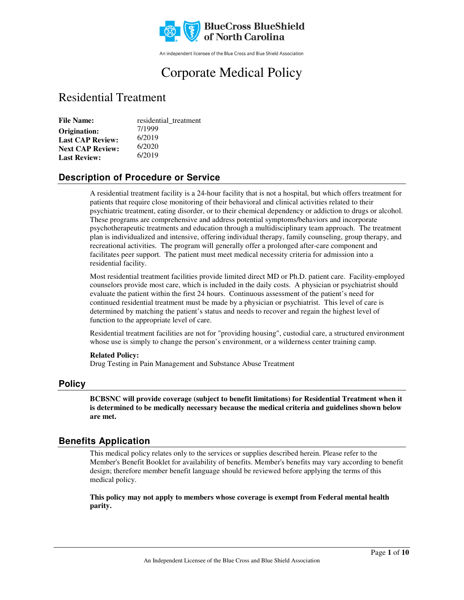

An independent licensee of the Blue Cross and Blue Shield Association

# Corporate Medical Policy

# Residential Treatment

| <b>File Name:</b>       | residential_treatment |
|-------------------------|-----------------------|
| Origination:            | 7/1999                |
| <b>Last CAP Review:</b> | 6/2019                |
| <b>Next CAP Review:</b> | 6/2020                |
| <b>Last Review:</b>     | 6/2019                |

### **Description of Procedure or Service**

A residential treatment facility is a 24-hour facility that is not a hospital, but which offers treatment for patients that require close monitoring of their behavioral and clinical activities related to their psychiatric treatment, eating disorder, or to their chemical dependency or addiction to drugs or alcohol. These programs are comprehensive and address potential symptoms/behaviors and incorporate psychotherapeutic treatments and education through a multidisciplinary team approach. The treatment plan is individualized and intensive, offering individual therapy, family counseling, group therapy, and recreational activities. The program will generally offer a prolonged after-care component and facilitates peer support. The patient must meet medical necessity criteria for admission into a residential facility.

Most residential treatment facilities provide limited direct MD or Ph.D. patient care. Facility-employed counselors provide most care, which is included in the daily costs. A physician or psychiatrist should evaluate the patient within the first 24 hours. Continuous assessment of the patient's need for continued residential treatment must be made by a physician or psychiatrist. This level of care is determined by matching the patient's status and needs to recover and regain the highest level of function to the appropriate level of care.

Residential treatment facilities are not for "providing housing", custodial care, a structured environment whose use is simply to change the person's environment, or a wilderness center training camp.

#### **Related Policy:**

Drug Testing in Pain Management and Substance Abuse Treatment

### **Policy**

**BCBSNC will provide coverage (subject to benefit limitations) for Residential Treatment when it is determined to be medically necessary because the medical criteria and guidelines shown below are met.**

### **Benefits Application**

This medical policy relates only to the services or supplies described herein. Please refer to the Member's Benefit Booklet for availability of benefits. Member's benefits may vary according to benefit design; therefore member benefit language should be reviewed before applying the terms of this medical policy.

**This policy may not apply to members whose coverage is exempt from Federal mental health parity.**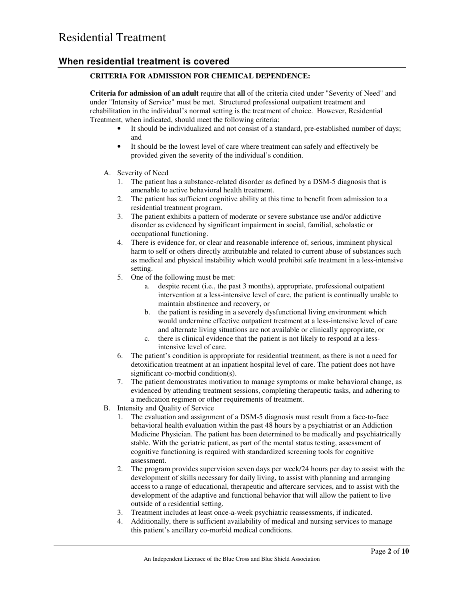### **When residential treatment is covered**

#### **CRITERIA FOR ADMISSION FOR CHEMICAL DEPENDENCE:**

**Criteria for admission of an adult** require that **all** of the criteria cited under "Severity of Need" and under "Intensity of Service" must be met. Structured professional outpatient treatment and rehabilitation in the individual's normal setting is the treatment of choice. However, Residential Treatment, when indicated, should meet the following criteria:

- It should be individualized and not consist of a standard, pre-established number of days; and
- It should be the lowest level of care where treatment can safely and effectively be provided given the severity of the individual's condition.
- A. Severity of Need
	- 1. The patient has a substance-related disorder as defined by a DSM-5 diagnosis that is amenable to active behavioral health treatment.
	- 2. The patient has sufficient cognitive ability at this time to benefit from admission to a residential treatment program.
	- 3. The patient exhibits a pattern of moderate or severe substance use and/or addictive disorder as evidenced by significant impairment in social, familial, scholastic or occupational functioning.
	- 4. There is evidence for, or clear and reasonable inference of, serious, imminent physical harm to self or others directly attributable and related to current abuse of substances such as medical and physical instability which would prohibit safe treatment in a less-intensive setting.
	- 5. One of the following must be met:
		- a. despite recent (i.e., the past 3 months), appropriate, professional outpatient intervention at a less-intensive level of care, the patient is continually unable to maintain abstinence and recovery, or
		- b. the patient is residing in a severely dysfunctional living environment which would undermine effective outpatient treatment at a less-intensive level of care and alternate living situations are not available or clinically appropriate, or
		- c. there is clinical evidence that the patient is not likely to respond at a lessintensive level of care.
	- 6. The patient's condition is appropriate for residential treatment, as there is not a need for detoxification treatment at an inpatient hospital level of care. The patient does not have significant co-morbid condition(s).
	- 7. The patient demonstrates motivation to manage symptoms or make behavioral change, as evidenced by attending treatment sessions, completing therapeutic tasks, and adhering to a medication regimen or other requirements of treatment.
- B. Intensity and Quality of Service
	- 1. The evaluation and assignment of a DSM-5 diagnosis must result from a face-to-face behavioral health evaluation within the past 48 hours by a psychiatrist or an Addiction Medicine Physician. The patient has been determined to be medically and psychiatrically stable. With the geriatric patient, as part of the mental status testing, assessment of cognitive functioning is required with standardized screening tools for cognitive assessment.
	- 2. The program provides supervision seven days per week/24 hours per day to assist with the development of skills necessary for daily living, to assist with planning and arranging access to a range of educational, therapeutic and aftercare services, and to assist with the development of the adaptive and functional behavior that will allow the patient to live outside of a residential setting.
	- 3. Treatment includes at least once-a-week psychiatric reassessments, if indicated.
	- 4. Additionally, there is sufficient availability of medical and nursing services to manage this patient's ancillary co-morbid medical conditions.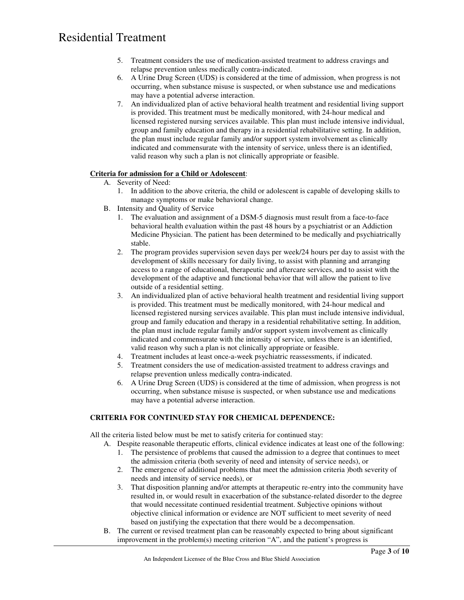- 5. Treatment considers the use of medication-assisted treatment to address cravings and relapse prevention unless medically contra-indicated.
- 6. A Urine Drug Screen (UDS) is considered at the time of admission, when progress is not occurring, when substance misuse is suspected, or when substance use and medications may have a potential adverse interaction.
- 7. An individualized plan of active behavioral health treatment and residential living support is provided. This treatment must be medically monitored, with 24-hour medical and licensed registered nursing services available. This plan must include intensive individual, group and family education and therapy in a residential rehabilitative setting. In addition, the plan must include regular family and/or support system involvement as clinically indicated and commensurate with the intensity of service, unless there is an identified, valid reason why such a plan is not clinically appropriate or feasible.

#### **Criteria for admission for a Child or Adolescent**:

- A. Severity of Need:
	- 1. In addition to the above criteria, the child or adolescent is capable of developing skills to manage symptoms or make behavioral change.
- B. Intensity and Quality of Service
	- 1. The evaluation and assignment of a DSM-5 diagnosis must result from a face-to-face behavioral health evaluation within the past 48 hours by a psychiatrist or an Addiction Medicine Physician. The patient has been determined to be medically and psychiatrically stable.
	- 2. The program provides supervision seven days per week/24 hours per day to assist with the development of skills necessary for daily living, to assist with planning and arranging access to a range of educational, therapeutic and aftercare services, and to assist with the development of the adaptive and functional behavior that will allow the patient to live outside of a residential setting.
	- 3. An individualized plan of active behavioral health treatment and residential living support is provided. This treatment must be medically monitored, with 24-hour medical and licensed registered nursing services available. This plan must include intensive individual, group and family education and therapy in a residential rehabilitative setting. In addition, the plan must include regular family and/or support system involvement as clinically indicated and commensurate with the intensity of service, unless there is an identified, valid reason why such a plan is not clinically appropriate or feasible.
	- 4. Treatment includes at least once-a-week psychiatric reassessments, if indicated.
	- 5. Treatment considers the use of medication-assisted treatment to address cravings and relapse prevention unless medically contra-indicated.
	- 6. A Urine Drug Screen (UDS) is considered at the time of admission, when progress is not occurring, when substance misuse is suspected, or when substance use and medications may have a potential adverse interaction.

#### **CRITERIA FOR CONTINUED STAY FOR CHEMICAL DEPENDENCE:**

All the criteria listed below must be met to satisfy criteria for continued stay:

- A. Despite reasonable therapeutic efforts, clinical evidence indicates at least one of the following:
	- 1. The persistence of problems that caused the admission to a degree that continues to meet the admission criteria (both severity of need and intensity of service needs), or
	- 2. The emergence of additional problems that meet the admission criteria )both severity of needs and intensity of service needs), or
	- 3. That disposition planning and/or attempts at therapeutic re-entry into the community have resulted in, or would result in exacerbation of the substance-related disorder to the degree that would necessitate continued residential treatment. Subjective opinions without objective clinical information or evidence are NOT sufficient to meet severity of need based on justifying the expectation that there would be a decompensation.
- B. The current or revised treatment plan can be reasonably expected to bring about significant improvement in the problem(s) meeting criterion "A", and the patient's progress is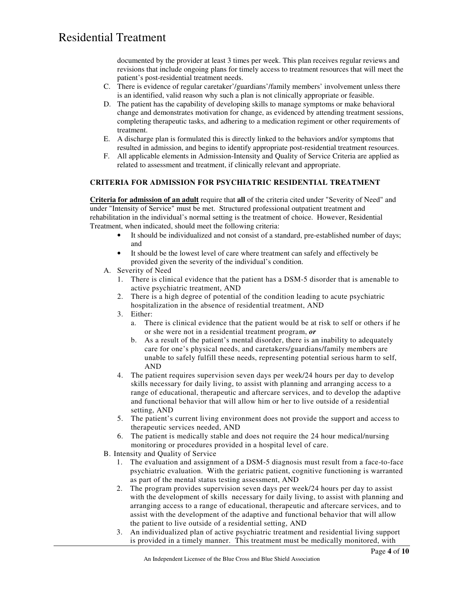documented by the provider at least 3 times per week. This plan receives regular reviews and revisions that include ongoing plans for timely access to treatment resources that will meet the patient's post-residential treatment needs.

- C. There is evidence of regular caretaker'/guardians'/family members' involvement unless there is an identified, valid reason why such a plan is not clinically appropriate or feasible.
- D. The patient has the capability of developing skills to manage symptoms or make behavioral change and demonstrates motivation for change, as evidenced by attending treatment sessions, completing therapeutic tasks, and adhering to a medication regiment or other requirements of treatment.
- E. A discharge plan is formulated this is directly linked to the behaviors and/or symptoms that resulted in admission, and begins to identify appropriate post-residential treatment resources.
- F. All applicable elements in Admission-Intensity and Quality of Service Criteria are applied as related to assessment and treatment, if clinically relevant and appropriate.

#### **CRITERIA FOR ADMISSION FOR PSYCHIATRIC RESIDENTIAL TREATMENT**

**Criteria for admission of an adult** require that **all** of the criteria cited under "Severity of Need" and under "Intensity of Service" must be met. Structured professional outpatient treatment and rehabilitation in the individual's normal setting is the treatment of choice. However, Residential Treatment, when indicated, should meet the following criteria:

- It should be individualized and not consist of a standard, pre-established number of days; and
- It should be the lowest level of care where treatment can safely and effectively be provided given the severity of the individual's condition.
- A. Severity of Need
	- 1. There is clinical evidence that the patient has a DSM-5 disorder that is amenable to active psychiatric treatment, AND
	- 2. There is a high degree of potential of the condition leading to acute psychiatric hospitalization in the absence of residential treatment, AND
	- 3. Either:
		- a. There is clinical evidence that the patient would be at risk to self or others if he or she were not in a residential treatment program, *or*
		- b. As a result of the patient's mental disorder, there is an inability to adequately care for one's physical needs, and caretakers/guardians/family members are unable to safely fulfill these needs, representing potential serious harm to self, AND
	- 4. The patient requires supervision seven days per week/24 hours per day to develop skills necessary for daily living, to assist with planning and arranging access to a range of educational, therapeutic and aftercare services, and to develop the adaptive and functional behavior that will allow him or her to live outside of a residential setting, AND
	- 5. The patient's current living environment does not provide the support and access to therapeutic services needed, AND
	- 6. The patient is medically stable and does not require the 24 hour medical/nursing monitoring or procedures provided in a hospital level of care.
- B. Intensity and Quality of Service
	- 1. The evaluation and assignment of a DSM-5 diagnosis must result from a face-to-face psychiatric evaluation. With the geriatric patient, cognitive functioning is warranted as part of the mental status testing assessment, AND
	- 2. The program provides supervision seven days per week/24 hours per day to assist with the development of skills necessary for daily living, to assist with planning and arranging access to a range of educational, therapeutic and aftercare services, and to assist with the development of the adaptive and functional behavior that will allow the patient to live outside of a residential setting, AND
	- 3. An individualized plan of active psychiatric treatment and residential living support is provided in a timely manner. This treatment must be medically monitored, with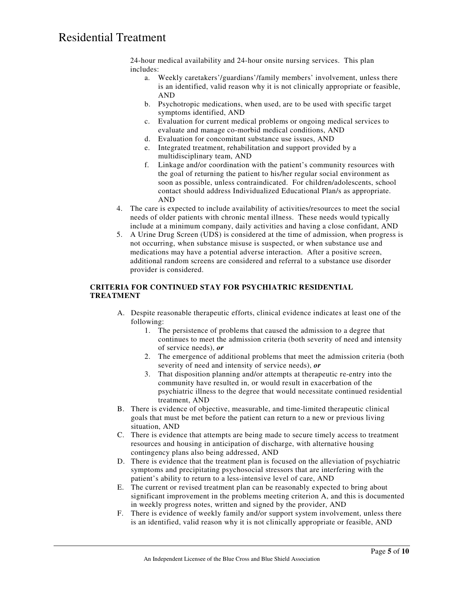24-hour medical availability and 24-hour onsite nursing services. This plan includes:

- a. Weekly caretakers'/guardians'/family members' involvement, unless there is an identified, valid reason why it is not clinically appropriate or feasible, AND
- b. Psychotropic medications, when used, are to be used with specific target symptoms identified, AND
- c. Evaluation for current medical problems or ongoing medical services to evaluate and manage co-morbid medical conditions, AND
- d. Evaluation for concomitant substance use issues, AND
- e. Integrated treatment, rehabilitation and support provided by a multidisciplinary team, AND
- f. Linkage and/or coordination with the patient's community resources with the goal of returning the patient to his/her regular social environment as soon as possible, unless contraindicated. For children/adolescents, school contact should address Individualized Educational Plan/s as appropriate. AND
- 4. The care is expected to include availability of activities/resources to meet the social needs of older patients with chronic mental illness. These needs would typically include at a minimum company, daily activities and having a close confidant, AND
- 5. A Urine Drug Screen (UDS) is considered at the time of admission, when progress is not occurring, when substance misuse is suspected, or when substance use and medications may have a potential adverse interaction. After a positive screen, additional random screens are considered and referral to a substance use disorder provider is considered.

#### **CRITERIA FOR CONTINUED STAY FOR PSYCHIATRIC RESIDENTIAL TREATMENT**

- A. Despite reasonable therapeutic efforts, clinical evidence indicates at least one of the following:
	- 1. The persistence of problems that caused the admission to a degree that continues to meet the admission criteria (both severity of need and intensity of service needs), *or*
	- 2. The emergence of additional problems that meet the admission criteria (both severity of need and intensity of service needs), *or*
	- 3. That disposition planning and/or attempts at therapeutic re-entry into the community have resulted in, or would result in exacerbation of the psychiatric illness to the degree that would necessitate continued residential treatment, AND
- B. There is evidence of objective, measurable, and time-limited therapeutic clinical goals that must be met before the patient can return to a new or previous living situation, AND
- C. There is evidence that attempts are being made to secure timely access to treatment resources and housing in anticipation of discharge, with alternative housing contingency plans also being addressed, AND
- D. There is evidence that the treatment plan is focused on the alleviation of psychiatric symptoms and precipitating psychosocial stressors that are interfering with the patient's ability to return to a less-intensive level of care, AND
- E. The current or revised treatment plan can be reasonably expected to bring about significant improvement in the problems meeting criterion A, and this is documented in weekly progress notes, written and signed by the provider, AND
- F. There is evidence of weekly family and/or support system involvement, unless there is an identified, valid reason why it is not clinically appropriate or feasible, AND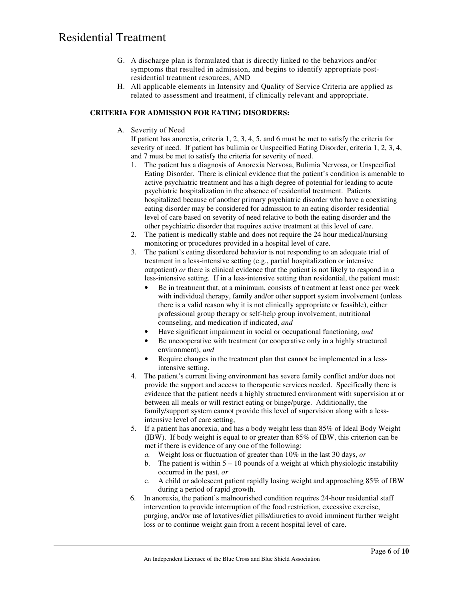- G. A discharge plan is formulated that is directly linked to the behaviors and/or symptoms that resulted in admission, and begins to identify appropriate postresidential treatment resources, AND
- H. All applicable elements in Intensity and Quality of Service Criteria are applied as related to assessment and treatment, if clinically relevant and appropriate.

#### **CRITERIA FOR ADMISSION FOR EATING DISORDERS:**

A. Severity of Need

If patient has anorexia, criteria 1, 2, 3, 4, 5, and 6 must be met to satisfy the criteria for severity of need. If patient has bulimia or Unspecified Eating Disorder, criteria 1, 2, 3, 4, and 7 must be met to satisfy the criteria for severity of need.

- 1. The patient has a diagnosis of Anorexia Nervosa, Bulimia Nervosa, or Unspecified Eating Disorder. There is clinical evidence that the patient's condition is amenable to active psychiatric treatment and has a high degree of potential for leading to acute psychiatric hospitalization in the absence of residential treatment. Patients hospitalized because of another primary psychiatric disorder who have a coexisting eating disorder may be considered for admission to an eating disorder residential level of care based on severity of need relative to both the eating disorder and the other psychiatric disorder that requires active treatment at this level of care.
- 2. The patient is medically stable and does not require the 24 hour medical/nursing monitoring or procedures provided in a hospital level of care.
- 3. The patient's eating disordered behavior is not responding to an adequate trial of treatment in a less-intensive setting (e.g., partial hospitalization or intensive outpatient) *or* there is clinical evidence that the patient is not likely to respond in a less-intensive setting. If in a less-intensive setting than residential, the patient must:
	- Be in treatment that, at a minimum, consists of treatment at least once per week with individual therapy, family and/or other support system involvement (unless there is a valid reason why it is not clinically appropriate or feasible), either professional group therapy or self-help group involvement, nutritional counseling, and medication if indicated, *and*
	- Have significant impairment in social or occupational functioning, *and*
	- Be uncooperative with treatment (or cooperative only in a highly structured environment), *and*
	- Require changes in the treatment plan that cannot be implemented in a lessintensive setting.
- 4. The patient's current living environment has severe family conflict and/or does not provide the support and access to therapeutic services needed. Specifically there is evidence that the patient needs a highly structured environment with supervision at or between all meals or will restrict eating or binge/purge. Additionally, the family/support system cannot provide this level of supervision along with a lessintensive level of care setting,
- 5. If a patient has anorexia, and has a body weight less than 85% of Ideal Body Weight (IBW). If body weight is equal to or greater than 85% of IBW, this criterion can be met if there is evidence of any one of the following:
	- *a.* Weight loss or fluctuation of greater than 10% in the last 30 days, *or*
	- b. The patient is within  $5 10$  pounds of a weight at which physiologic instability occurred in the past, *or*
	- c. A child or adolescent patient rapidly losing weight and approaching 85% of IBW during a period of rapid growth.
- 6. In anorexia, the patient's malnourished condition requires 24-hour residential staff intervention to provide interruption of the food restriction, excessive exercise, purging, and/or use of laxatives/diet pills/diuretics to avoid imminent further weight loss or to continue weight gain from a recent hospital level of care.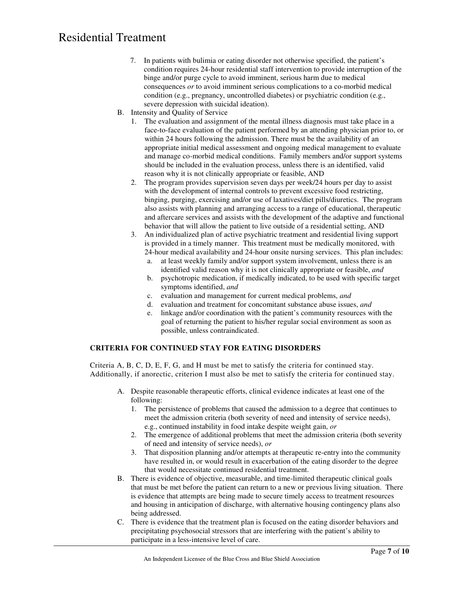- 7. In patients with bulimia or eating disorder not otherwise specified, the patient's condition requires 24-hour residential staff intervention to provide interruption of the binge and/or purge cycle to avoid imminent, serious harm due to medical consequences *or* to avoid imminent serious complications to a co-morbid medical condition (e.g., pregnancy, uncontrolled diabetes) or psychiatric condition (e.g., severe depression with suicidal ideation).
- B. Intensity and Quality of Service
	- 1. The evaluation and assignment of the mental illness diagnosis must take place in a face-to-face evaluation of the patient performed by an attending physician prior to, or within 24 hours following the admission. There must be the availability of an appropriate initial medical assessment and ongoing medical management to evaluate and manage co-morbid medical conditions. Family members and/or support systems should be included in the evaluation process, unless there is an identified, valid reason why it is not clinically appropriate or feasible, AND
	- 2. The program provides supervision seven days per week/24 hours per day to assist with the development of internal controls to prevent excessive food restricting, binging, purging, exercising and/or use of laxatives/diet pills/diuretics. The program also assists with planning and arranging access to a range of educational, therapeutic and aftercare services and assists with the development of the adaptive and functional behavior that will allow the patient to live outside of a residential setting, AND
	- 3. An individualized plan of active psychiatric treatment and residential living support is provided in a timely manner. This treatment must be medically monitored, with 24-hour medical availability and 24-hour onsite nursing services. This plan includes:
		- a. at least weekly family and/or support system involvement, unless there is an identified valid reason why it is not clinically appropriate or feasible, *and*
		- b. psychotropic medication, if medically indicated, to be used with specific target symptoms identified, *and*
		- c. evaluation and management for current medical problems, *and*
		- d. evaluation and treatment for concomitant substance abuse issues, *and*
		- e. linkage and/or coordination with the patient's community resources with the goal of returning the patient to his/her regular social environment as soon as possible, unless contraindicated.

#### **CRITERIA FOR CONTINUED STAY FOR EATING DISORDERS**

Criteria A, B, C, D, E, F, G, and H must be met to satisfy the criteria for continued stay. Additionally, if anorectic, criterion I must also be met to satisfy the criteria for continued stay.

- A. Despite reasonable therapeutic efforts, clinical evidence indicates at least one of the following:
	- 1. The persistence of problems that caused the admission to a degree that continues to meet the admission criteria (both severity of need and intensity of service needs), e.g., continued instability in food intake despite weight gain, *or*
	- 2. The emergence of additional problems that meet the admission criteria (both severity of need and intensity of service needs), *or*
	- 3. That disposition planning and/or attempts at therapeutic re-entry into the community have resulted in, or would result in exacerbation of the eating disorder to the degree that would necessitate continued residential treatment.
- B. There is evidence of objective, measurable, and time-limited therapeutic clinical goals that must be met before the patient can return to a new or previous living situation. There is evidence that attempts are being made to secure timely access to treatment resources and housing in anticipation of discharge, with alternative housing contingency plans also being addressed.
- C. There is evidence that the treatment plan is focused on the eating disorder behaviors and precipitating psychosocial stressors that are interfering with the patient's ability to participate in a less-intensive level of care.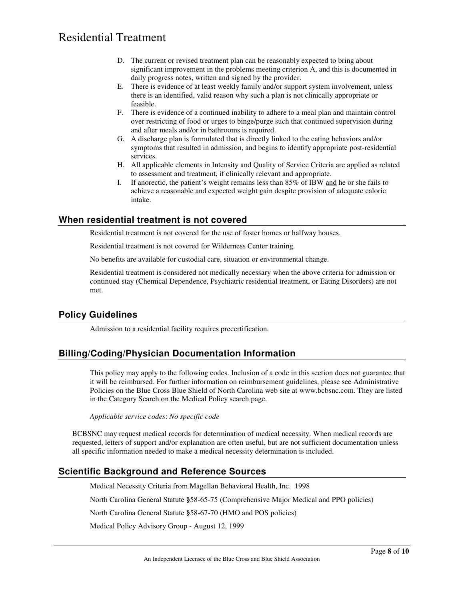- D. The current or revised treatment plan can be reasonably expected to bring about significant improvement in the problems meeting criterion A, and this is documented in daily progress notes, written and signed by the provider.
- E. There is evidence of at least weekly family and/or support system involvement, unless there is an identified, valid reason why such a plan is not clinically appropriate or feasible.
- F. There is evidence of a continued inability to adhere to a meal plan and maintain control over restricting of food or urges to binge/purge such that continued supervision during and after meals and/or in bathrooms is required.
- G. A discharge plan is formulated that is directly linked to the eating behaviors and/or symptoms that resulted in admission, and begins to identify appropriate post-residential services.
- H. All applicable elements in Intensity and Quality of Service Criteria are applied as related to assessment and treatment, if clinically relevant and appropriate.
- I. If anorectic, the patient's weight remains less than 85% of IBW and he or she fails to achieve a reasonable and expected weight gain despite provision of adequate caloric intake.

### **When residential treatment is not covered**

Residential treatment is not covered for the use of foster homes or halfway houses.

Residential treatment is not covered for Wilderness Center training.

No benefits are available for custodial care, situation or environmental change.

Residential treatment is considered not medically necessary when the above criteria for admission or continued stay (Chemical Dependence, Psychiatric residential treatment, or Eating Disorders) are not met.

### **Policy Guidelines**

Admission to a residential facility requires precertification.

### **Billing/Coding/Physician Documentation Information**

This policy may apply to the following codes. Inclusion of a code in this section does not guarantee that it will be reimbursed. For further information on reimbursement guidelines, please see Administrative Policies on the Blue Cross Blue Shield of North Carolina web site at www.bcbsnc.com. They are listed in the Category Search on the Medical Policy search page.

*Applicable service codes*: *No specific code*

BCBSNC may request medical records for determination of medical necessity. When medical records are requested, letters of support and/or explanation are often useful, but are not sufficient documentation unless all specific information needed to make a medical necessity determination is included.

### **Scientific Background and Reference Sources**

Medical Necessity Criteria from Magellan Behavioral Health, Inc. 1998

North Carolina General Statute **§**58-65-75 (Comprehensive Major Medical and PPO policies)

North Carolina General Statute **§**58-67-70 (HMO and POS policies)

Medical Policy Advisory Group - August 12, 1999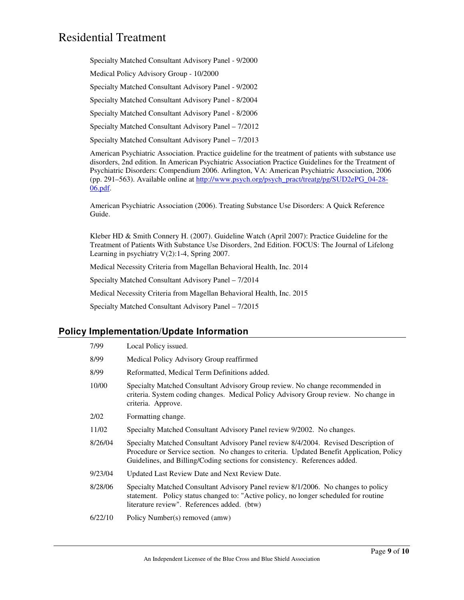Specialty Matched Consultant Advisory Panel - 9/2000

Medical Policy Advisory Group - 10/2000

Specialty Matched Consultant Advisory Panel - 9/2002

Specialty Matched Consultant Advisory Panel - 8/2004

Specialty Matched Consultant Advisory Panel - 8/2006

Specialty Matched Consultant Advisory Panel – 7/2012

Specialty Matched Consultant Advisory Panel – 7/2013

American Psychiatric Association. Practice guideline for the treatment of patients with substance use disorders, 2nd edition. In American Psychiatric Association Practice Guidelines for the Treatment of Psychiatric Disorders: Compendium 2006. Arlington, VA: American Psychiatric Association, 2006 (pp. 291–563). Available online at http://www.psych.org/psych\_pract/treatg/pg/SUD2ePG\_04-28- 06.pdf.

American Psychiatric Association (2006). Treating Substance Use Disorders: A Quick Reference Guide.

Kleber HD & Smith Connery H. (2007). Guideline Watch (April 2007): Practice Guideline for the Treatment of Patients With Substance Use Disorders, 2nd Edition. FOCUS: The Journal of Lifelong Learning in psychiatry V(2):1-4, Spring 2007.

Medical Necessity Criteria from Magellan Behavioral Health, Inc. 2014

Specialty Matched Consultant Advisory Panel – 7/2014

Medical Necessity Criteria from Magellan Behavioral Health, Inc. 2015

Specialty Matched Consultant Advisory Panel – 7/2015

#### **Policy Implementation/Update Information**

| 7/99    | Local Policy issued.                                                                                                                                                                                                                                           |
|---------|----------------------------------------------------------------------------------------------------------------------------------------------------------------------------------------------------------------------------------------------------------------|
| 8/99    | Medical Policy Advisory Group reaffirmed                                                                                                                                                                                                                       |
| 8/99    | Reformatted, Medical Term Definitions added.                                                                                                                                                                                                                   |
| 10/00   | Specialty Matched Consultant Advisory Group review. No change recommended in<br>criteria. System coding changes. Medical Policy Advisory Group review. No change in<br>criteria. Approve.                                                                      |
| 2/02    | Formatting change.                                                                                                                                                                                                                                             |
| 11/02   | Specialty Matched Consultant Advisory Panel review 9/2002. No changes.                                                                                                                                                                                         |
| 8/26/04 | Specialty Matched Consultant Advisory Panel review 8/4/2004. Revised Description of<br>Procedure or Service section. No changes to criteria. Updated Benefit Application, Policy<br>Guidelines, and Billing/Coding sections for consistency. References added. |
| 9/23/04 | Updated Last Review Date and Next Review Date.                                                                                                                                                                                                                 |
| 8/28/06 | Specialty Matched Consultant Advisory Panel review 8/1/2006. No changes to policy<br>statement. Policy status changed to: "Active policy, no longer scheduled for routine<br>literature review". References added. (btw)                                       |
| 6/22/10 | Policy Number(s) removed (amw)                                                                                                                                                                                                                                 |
|         |                                                                                                                                                                                                                                                                |